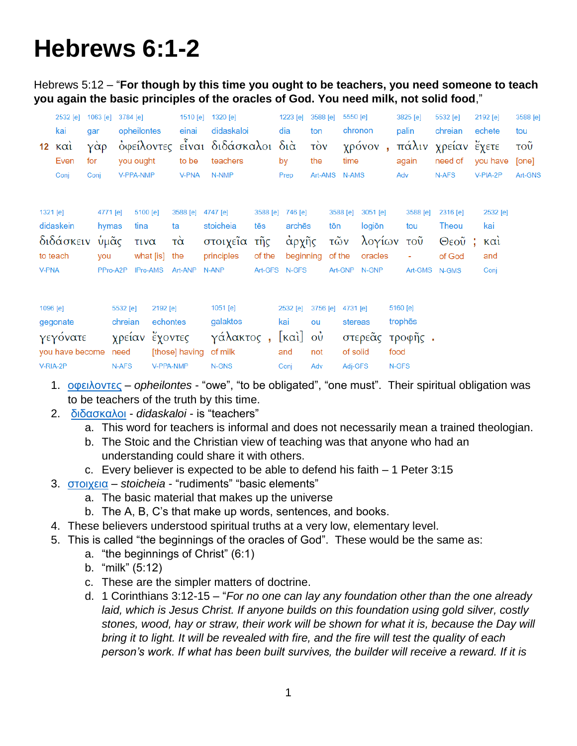# **Hebrews 6:1-2**

Hebrews 5:12 – "**For though by this time you ought to be teachers, you need someone to teach you again the basic principles of the oracles of God. You need milk, not solid food**,"

|              | 2532 [e]<br>kai<br>$12 \times \alpha i$<br>Even<br>Conj         | 1063 [e]<br>gar<br>γὰρ<br>for<br>Conj |                                                | 3784 [e]<br>opheilontes<br>you ought<br>V-PPA-NMP     | 1510 [e]<br>einai<br>to be<br><b>V-PNA</b>                     | 1320 [e]<br>didaskaloi<br>όφείλοντες είναι διδάσκαλοι διά<br>teachers<br>N-NMP |                                  | 1223 [e]<br>dia<br>by<br>Prep                                            | 3588 [e]<br>ton<br>$\vec{10v}$<br>the<br>Art-AMS | 5550 [e]<br>time<br><b>N-AMS</b> | chronon<br>χρόνον,                                       | 3825 [e]<br>palin<br>again<br>Adv                       | 5532 [e]<br>chreian<br>πάλιν χρείαν ἔχετε<br>need of<br>N-AFS | 2192 [e]<br>echete<br>you have<br>V-PIA-2P                                         | 3588 [e]<br>tou<br>$\overline{\mathrm{row}}$<br>[one]<br>Art-GNS |
|--------------|-----------------------------------------------------------------|---------------------------------------|------------------------------------------------|-------------------------------------------------------|----------------------------------------------------------------|--------------------------------------------------------------------------------|----------------------------------|--------------------------------------------------------------------------|--------------------------------------------------|----------------------------------|----------------------------------------------------------|---------------------------------------------------------|---------------------------------------------------------------|------------------------------------------------------------------------------------|------------------------------------------------------------------|
| <b>V-PNA</b> | 1321 [e]<br>didaskein<br>διδάσκειν<br>to teach                  | you                                   | 4771 [e]<br>hymas<br>ὑμᾶς<br>PPro-A2P          | 5100 [e]<br>tina<br>τινα<br>what [is] the<br>IPro-AMS | 3588 [e]<br>ta<br>$\vec{\alpha}$<br>Art-ANP                    | 4747 [e]<br>stoicheia<br>στοιχεῖα<br>principles<br>N-ANP                       | 3588 [e]<br>tēs<br>τῆς<br>of the | 746 [e]<br>archēs<br>άρχῆς<br>beginning<br>Art-GFS N-GFS                 |                                                  | 3588 [e]<br>tōn<br>τῶν<br>of the | 3051 [e]<br>logiōn<br>λογίων<br>oracles<br>Art-GNP N-GNP | 3588 [e]<br>tou<br>τοῦ<br>Art-GMS                       | 2316 [e]<br>Theou<br>$\Theta$ εοῦ;<br>of God<br>N-GMS         | 2532 [e]<br>kai<br>$\kappa$ $\alpha$ <sup><math>\alpha</math></sup><br>and<br>Conj |                                                                  |
|              | 1096 [e]<br>gegonate<br>γεγόνατε<br>you have become<br>V-RIA-2P |                                       | 5532 [e]<br>chreian<br>χρείαν<br>need<br>N-AFS |                                                       | 2192 [e]<br>echontes<br>έχοντες<br>[those] having<br>V-PPA-NMP | 1051 [e]<br>galaktos<br>γάλακτος,<br>of milk<br>N-GNS                          |                                  | 2532 [e]<br>kai<br>$[\kappa \alpha \iota]$ $\omega \iota$<br>and<br>Conj | 3756 [e]<br>ou<br>not<br>Adv                     | 4731 [e]<br>of solid<br>Adj-GFS  | stereas                                                  | 5160 [e]<br>trophes<br>στερεᾶς τροφῆς.<br>food<br>N-GFS |                                                               |                                                                                    |                                                                  |

- 1. [οφειλοντες](http://strongsnumbers.com/greek/3784.htm) *opheilontes* "owe", "to be obligated", "one must". Their spiritual obligation was to be teachers of the truth by this time.
- 2. [διδασκαλοι](http://strongsnumbers.com/greek/1320.htm) *didaskaloi* is "teachers"
	- a. This word for teachers is informal and does not necessarily mean a trained theologian.
	- b. The Stoic and the Christian view of teaching was that anyone who had an understanding could share it with others.
	- c. Every believer is expected to be able to defend his faith 1 Peter 3:15
- 3. [στοιχεια](http://strongsnumbers.com/greek/4747.htm) *stoicheia* "rudiments" "basic elements"
	- a. The basic material that makes up the universe
	- b. The A, B, C's that make up words, sentences, and books.
- 4. These believers understood spiritual truths at a very low, elementary level.
- 5. This is called "the beginnings of the oracles of God". These would be the same as:
	- a. "the beginnings of Christ" (6:1)
	- b. "milk" (5:12)
	- c. These are the simpler matters of doctrine.
	- d. 1 Corinthians 3:12-15 "*For no one can lay any foundation other than the one already laid, which is Jesus Christ. If anyone builds on this foundation using gold silver, costly stones, wood, hay or straw, their work will be shown for what it is, because the Day will bring it to light. It will be revealed with fire, and the fire will test the quality of each person's work. If what has been built survives, the builder will receive a reward. If it is*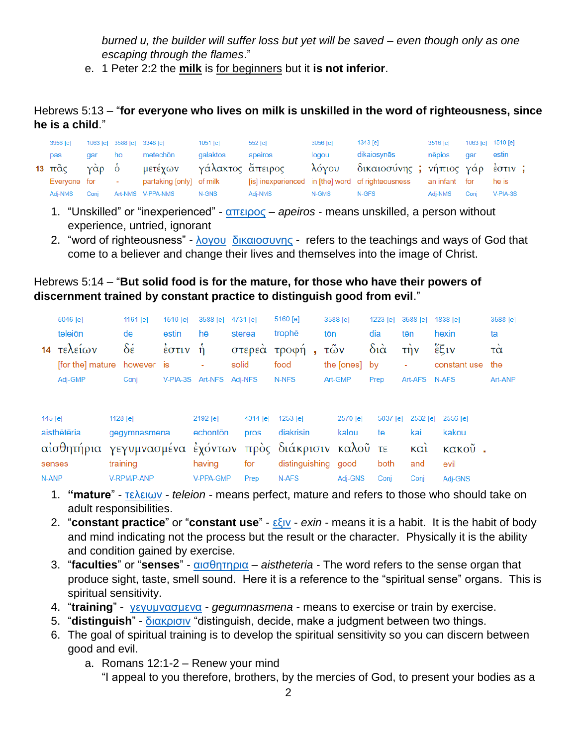*burned u, the builder will suffer loss but yet will be saved – even though only as one escaping through the flames*."

e. 1 Peter 2:2 the **milk** is for beginners but it **is not inferior**.

#### Hebrews 5:13 – "**for everyone who lives on milk is unskilled in the word of righteousness, since he is a child**."

| 3956 [e]     |      |        | 1063 [e] 3588 [e] 3348 [e]            | $1051$ [e] | 552 [e] | $3056$ [e] | 1343 [e]                                          | 3516 [e]      |      | 1063 [e] 1510 [e] |  |
|--------------|------|--------|---------------------------------------|------------|---------|------------|---------------------------------------------------|---------------|------|-------------------|--|
| pas          | dar  | ho     | metechōn                              | galaktos   | apeiros | logou      | dikaiosynēs                                       | nēpios        | aar  | estin             |  |
|              |      |        | 13 πᾶς γὰρ ὁ μετέχων γάλακτος ἄπειρος |            |         |            | λόγου δικαιοσύνης ; νήπιος γάρ έστιν ;            |               |      |                   |  |
| Evervone for |      | $\sim$ | partaking [only] of milk              |            |         |            | [is] inexperienced in [the] word of righteousness | an infant for |      | he is             |  |
| Adi-NMS      | Coni |        | Art-NMS V-PPA-NMS                     | N-GNS      | Adi-NMS | N-GMS      | N-GFS                                             | Adi-NMS       | Coni | $V-PIA-3S$        |  |

- 1. "Unskilled" or "inexperienced" [απειρος](http://strongsnumbers.com/greek/552.htm) *apeiros* means unskilled, a person without experience, untried, ignorant
- 2. "word of righteousness" [λογου](http://strongsnumbers.com/greek/3056.htm) [δικαιοσυνης](http://strongsnumbers.com/greek/1343.htm) refers to the teachings and ways of God that come to a believer and change their lives and themselves into the image of Christ.

#### Hebrews 5:14 – "**But solid food is for the mature, for those who have their powers of discernment trained by constant practice to distinguish good from evil**."

|            | 5046 [e]         |              | 1161 $[e]$ | 1510 [e]                                 | 3588 [e]           |        | 4731 [e] | 5160 [e]                         |  | 3588 [e]      | 1223 [e]    | 3588 [e]                    | 1838 [e]     | 3588 [e] |  |
|------------|------------------|--------------|------------|------------------------------------------|--------------------|--------|----------|----------------------------------|--|---------------|-------------|-----------------------------|--------------|----------|--|
| teleiōn    |                  | de           |            | estin                                    | hē                 | sterea |          | trophe<br>tōn                    |  |               | dia         | tēn                         | hexin        | ta       |  |
| 14         | τελείων          |              | δέ         | $\frac{1}{2}$ $\sigma$ $\tau$ $\upsilon$ | $\hat{\mathsf{n}}$ |        | στερεά   | τροφή<br>$\overline{\textbf{a}}$ |  | τῶν           | $\delta$ ιά | $\overrightarrow{\text{t}}$ | έξιν         | τα       |  |
|            | [for the] mature |              | however is |                                          |                    | solid  |          | food                             |  | the [ones] by |             | ۰                           | constant use | the      |  |
|            | Adj-GMP          |              | Conj       | V-PIA-3S                                 | Art-NFS            |        | Adj-NFS  | N-NFS                            |  | Art-GMP       | Prep        | Art-AFS                     | N-AFS        | Art-ANP  |  |
|            |                  |              |            |                                          |                    |        |          |                                  |  |               |             |                             |              |          |  |
| 145 [e]    |                  |              | 1128 [e]   |                                          | 2192 [e]           |        | 4314 [e] | 1253 [e]                         |  | 2570 [e]      | 5037 [e]    | 2532 [e]                    | 2556 [e]     |          |  |
|            | aisthētēria      | gegymnasmena |            |                                          | echonton           |        | pros     | diakrisin                        |  | kalou         | te          | kai                         | kakou        |          |  |
| αἰσθητήρια |                  |              |            | γεγυμνασμένα έχόντων                     |                    |        |          | πρὸς διάκρισιν καλοῦ τε          |  |               |             | $\kappa \alpha i$           | κακοῦ.       |          |  |
|            | senses           |              | training   |                                          | having             |        | for      | distinguishing                   |  | good          | both        | and                         | evil         |          |  |
| N-ANP      |                  | V-RPM/P-ANP  |            |                                          | V-PPA-GMP          | Prep   |          | N-AFS                            |  | Adi-GNS       | Coni        | Conj                        | Adj-GNS      |          |  |

- 1. **"mature**" [τελειων](http://strongsnumbers.com/greek/5046.htm) *teleion* means perfect, mature and refers to those who should take on adult responsibilities.
- 2. "**constant practice**" or "**constant use**" [εξιν](http://strongsnumbers.com/greek/1838.htm) *exin* means it is a habit. It is the habit of body and mind indicating not the process but the result or the character. Physically it is the ability and condition gained by exercise.
- 3. "**faculties**" or "**senses**" [αισθητηρια](http://strongsnumbers.com/greek/145.htm) *aistheteria* The word refers to the sense organ that produce sight, taste, smell sound. Here it is a reference to the "spiritual sense" organs. This is spiritual sensitivity.
- 4. "**training**" [γεγυμνασμενα](http://strongsnumbers.com/greek/1128.htm) *gegumnasmena* means to exercise or train by exercise.
- 5. "**distinguish**" [διακρισιν](http://strongsnumbers.com/greek/1253.htm) "distinguish, decide, make a judgment between two things.
- 6. The goal of spiritual training is to develop the spiritual sensitivity so you can discern between good and evil.
	- a. Romans 12:1-2 Renew your mind

"I appeal to you therefore, brothers, by the mercies of God, to present your bodies as a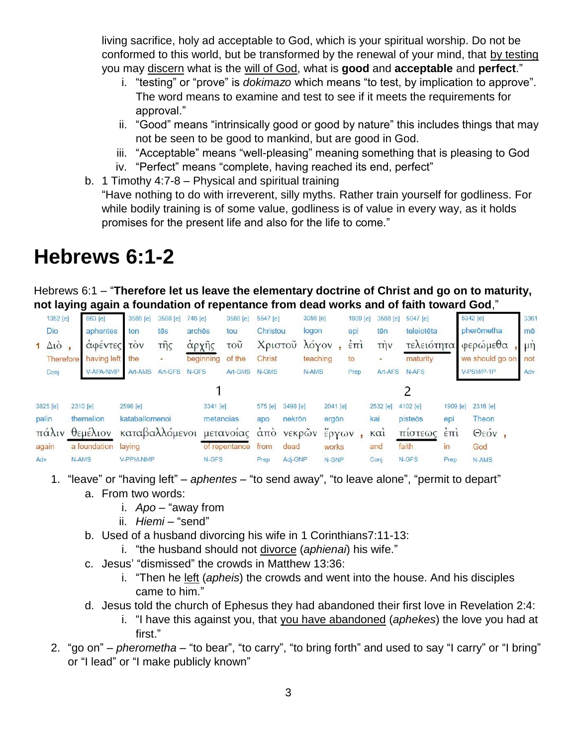living sacrifice, holy ad acceptable to God, which is your spiritual worship. Do not be conformed to this world, but be transformed by the renewal of your mind, that by testing you may discern what is the will of God, what is **good** and **acceptable** and **perfect**."

- i. "testing" or "prove" is *dokimazo* which means "to test, by implication to approve". The word means to examine and test to see if it meets the requirements for approval."
- ii. "Good" means "intrinsically good or good by nature" this includes things that may not be seen to be good to mankind, but are good in God.
- iii. "Acceptable" means "well-pleasing" meaning something that is pleasing to God
- iv. "Perfect" means "complete, having reached its end, perfect"
- b. 1 Timothy 4:7-8 Physical and spiritual training "Have nothing to do with irreverent, silly myths. Rather train yourself for godliness. For while bodily training is of some value, godliness is of value in every way, as it holds promises for the present life and also for the life to come."

## **Hebrews 6:1-2**

Hebrews 6:1 – "**Therefore let us leave the elementary doctrine of Christ and go on to maturity, not laying again a foundation of repentance from dead works and of faith toward God**,"

| 1352 [e]                | 863 [e]      | 3588 [e]   | 3588 [e]         | 746 [e]   | 3588 [e]                  | 5547 [e] |                        | 3056 [e] |          | 1909 [e]             | 3588 [e]             | 5047 [e]   |                   | 5342 [e]        | 3361             |
|-------------------------|--------------|------------|------------------|-----------|---------------------------|----------|------------------------|----------|----------|----------------------|----------------------|------------|-------------------|-----------------|------------------|
| Dio                     | aphentes     | ton        | tēs              | arches    | tou                       | Christou |                        | logon    |          | epi                  | tēn                  | teleiotēta |                   | pherōmetha      | mē               |
| $1 \Delta i\grave{o}$ , | αφεντες      | <b>TOV</b> | $\tilde{\eta}$ s | άρχῆς     | $\overline{\mathrm{TOU}}$ |          | Χριστοῦ λόγον          |          |          | $\dot{\epsilon}$ Trì | $\overrightarrow{r}$ | τελειότητα |                   | φερώμεθα        | $\mu \dot{\eta}$ |
| Therefore               | having left  | the        |                  | beginning | of the                    | Christ   |                        | teaching |          | to                   | ۰                    | maturity   |                   | we should go on | not              |
| Conj                    | V-APA-NMP    | Art-AMS    | Art-GFS          | N-GFS     | Art-GMS                   | N-GMS    |                        | N-AMS    |          | Prep                 | Art-AFS              | N-AFS      |                   | V-PSM/P-1P      | Adv              |
|                         |              |            |                  |           |                           |          |                        |          |          |                      |                      |            |                   |                 |                  |
| 3825 [e]                | 2310 [e]     | 2598 [e]   |                  | 3341 [e]  |                           | 575 [e]  | 3498 [e]               |          | 2041 [e] |                      | 2532 [e]             | 4102 [e]   | 1909 [e]          | 2316 [e]        |                  |
| palin                   | themelion    |            | kataballomenoi   |           | metanoias                 |          | nekrön<br>apo          |          | ergön    |                      | kai                  | pisteōs    | epi               | Theon           |                  |
| πάλιν<br>θεμέλιον       |              |            | καταβαλλόμενοι   |           | μετανοίας                 |          | νεκρών<br>$\alpha$ TTO |          | έργων    |                      | KQ1                  | πιστεως    | $\epsilon$ TT $i$ | Θεόν,           |                  |
| again                   | a foundation | laying     |                  |           | of repentance             | from     | dead                   |          | works    |                      | and                  | faith      | in                | God             |                  |
| Adv                     | N-AMS        | V-PPM-NMP  |                  | N-GFS     |                           | Prep     | Adj-GNP                |          | N-GNP    |                      | Conj                 | N-GFS      | Prep              | N-AMS           |                  |

- 1. "leave" or "having left" *aphentes* "to send away", "to leave alone", "permit to depart"
	- a. From two words:
		- i. *Apo* "away from
		- ii. *Hiemi* "send"
	- b. Used of a husband divorcing his wife in 1 Corinthians7:11-13:
		- i. "the husband should not divorce (*aphienai*) his wife."
	- c. Jesus' "dismissed" the crowds in Matthew 13:36:
		- i. "Then he left (*apheis*) the crowds and went into the house. And his disciples came to him."
	- d. Jesus told the church of Ephesus they had abandoned their first love in Revelation 2:4:
		- i. "I have this against you, that you have abandoned (*aphekes*) the love you had at first."
- 2. "go on" *pherometha* "to bear", "to carry", "to bring forth" and used to say "I carry" or "I bring" or "I lead" or "I make publicly known"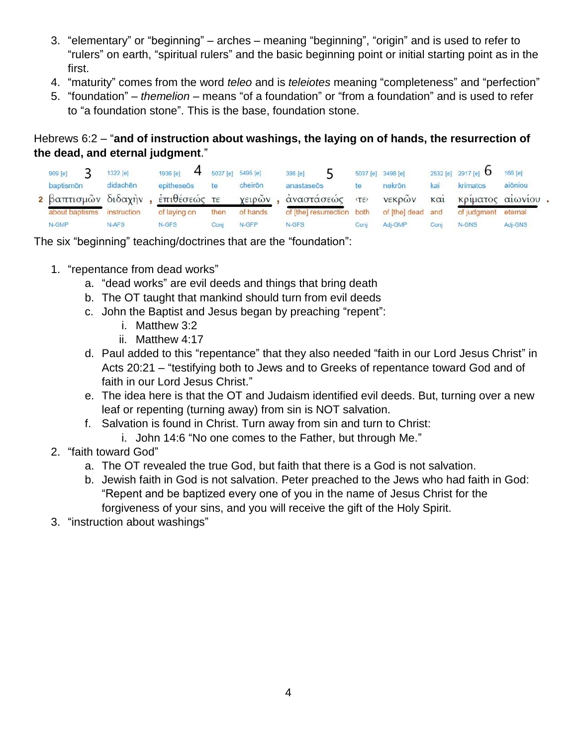- 3. "elementary" or "beginning" arches meaning "beginning", "origin" and is used to refer to "rulers" on earth, "spiritual rulers" and the basic beginning point or initial starting point as in the first.
- 4. "maturity" comes from the word *teleo* and is *teleiotes* meaning "completeness" and "perfection"
- 5. "foundation" *themelion* means "of a foundation" or "from a foundation" and is used to refer to "a foundation stone". This is the base, foundation stone.

### Hebrews 6:2 – "**and of instruction about washings, the laying on of hands, the resurrection of the dead, and eternal judgment**."

| 909 [e]                           | 1322 [e]    | 1936 [e]     |      | $4$ 5037 [e] 5495 [e] | 386 [e]                    |             | 5037 [e] 3498 [e] |      | 2532 [e] 2917 [e] O | 166 [e] |  |
|-----------------------------------|-------------|--------------|------|-----------------------|----------------------------|-------------|-------------------|------|---------------------|---------|--|
| baptismön                         | didachen    | epitheseös   | te   | cheirōn               | anastaseös                 | te          | nekrön            | kai  | krimatos            | aiōniou |  |
| 2 βαπτισμών διδαχήν, επιθέσεώς τε |             |              |      | χειρών                | άναστάσεώς                 | <b>(TE)</b> | νεκρών και        |      | κρίματος αίωνίου.   |         |  |
| about baptisms                    | instruction | of laying on | then | of hands              | of [the] resurrection both |             | of [the] dead and |      | of judgment         | eternal |  |
| N-GMP                             | N-AFS       | N-GFS        | Cont | N-GFP                 | N-GFS                      | Coni        | Adj-GMP           | Cont | N-GNS               | Adj-GNS |  |

The six "beginning" teaching/doctrines that are the "foundation":

- 1. "repentance from dead works"
	- a. "dead works" are evil deeds and things that bring death
	- b. The OT taught that mankind should turn from evil deeds
	- c. John the Baptist and Jesus began by preaching "repent":
		- i. Matthew 3:2
		- ii. Matthew 4:17
	- d. Paul added to this "repentance" that they also needed "faith in our Lord Jesus Christ" in Acts 20:21 – "testifying both to Jews and to Greeks of repentance toward God and of faith in our Lord Jesus Christ."
	- e. The idea here is that the OT and Judaism identified evil deeds. But, turning over a new leaf or repenting (turning away) from sin is NOT salvation.
	- f. Salvation is found in Christ. Turn away from sin and turn to Christ:
		- i. John 14:6 "No one comes to the Father, but through Me."
- 2. "faith toward God"
	- a. The OT revealed the true God, but faith that there is a God is not salvation.
	- b. Jewish faith in God is not salvation. Peter preached to the Jews who had faith in God: "Repent and be baptized every one of you in the name of Jesus Christ for the forgiveness of your sins, and you will receive the gift of the Holy Spirit.
- 3. "instruction about washings"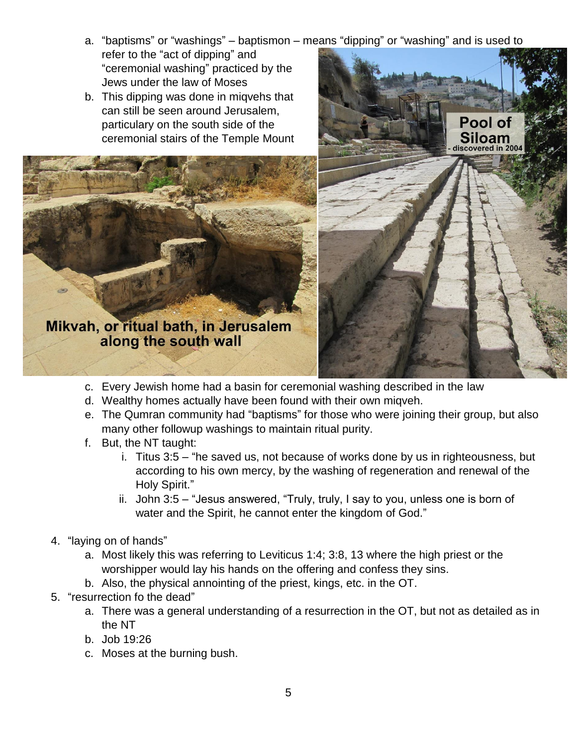- a. "baptisms" or "washings" baptismon means "dipping" or "washing" and is used to refer to the "act of dipping" and "ceremonial washing" practiced by the Jews under the law of Moses
- b. This dipping was done in miqvehs that can still be seen around Jerusalem, particulary on the south side of the ceremonial stairs of the Temple Mount





- c. Every Jewish home had a basin for ceremonial washing described in the law
- d. Wealthy homes actually have been found with their own miqveh.
- e. The Qumran community had "baptisms" for those who were joining their group, but also many other followup washings to maintain ritual purity.
- f. But, the NT taught:
	- i. Titus 3:5 "he saved us, not because of works done by us in righteousness, but according to his own mercy, by the washing of regeneration and renewal of the Holy Spirit."
	- ii. John 3:5 "Jesus answered, "Truly, truly, I say to you, unless one is born of water and the Spirit, he cannot enter the kingdom of God."
- 4. "laying on of hands"
	- a. Most likely this was referring to Leviticus 1:4; 3:8, 13 where the high priest or the worshipper would lay his hands on the offering and confess they sins.
	- b. Also, the physical annointing of the priest, kings, etc. in the OT.
- 5. "resurrection fo the dead"
	- a. There was a general understanding of a resurrection in the OT, but not as detailed as in the NT
	- b. Job 19:26
	- c. Moses at the burning bush.